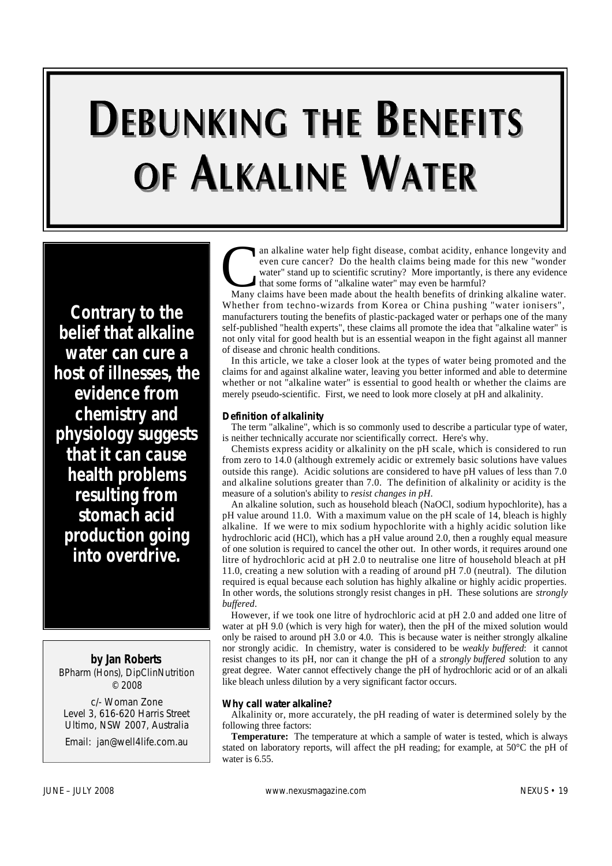# **DEBUNKING THE BENEFITS** OF ALKALINE WATER

*Contrary to the belief that alkaline water can cure a host of illnesses, the evidence from chemistry and physiology suggests that it can cause health problems resulting from stomach acid production going into overdrive.* 

**by Jan Roberts** 

BPharm (Hons), DipClinNutrition  $© 2008$ 

c/- Woman Zone Level 3, 616-620 Harris Street Ultimo, NSW 2007, Australia

Email: jan@well4life.com.au

an alkaline water help fight disease, combat acidity, enhance longevity and even cure cancer? Do the health claims being made for this new "wonder water" stand up to scientific scrutiny? More importantly, is there any evid an alkaline water help fight disease, combat acidity, enhance longevity and even cure cancer? Do the health claims being made for this new "wonder water" stand up to scientific scrutiny? More importantly, is there any evidence that some forms of "alkaline water" may even be harmful?

Whether from techno-wizards from Korea or China pushing "water ionisers", manufacturers touting the benefits of plastic-packaged water or perhaps one of the many self-published "health experts", these claims all promote the idea that "alkaline water" is not only vital for good health but is an essential weapon in the fight against all manner of disease and chronic health conditions.

In this article, we take a closer look at the types of water being promoted and the claims for and against alkaline water, leaving you better informed and able to determine whether or not "alkaline water" is essential to good health or whether the claims are merely pseudo-scientific. First, we need to look more closely at pH and alkalinity.

#### **Definition of alkalinity**

The term "alkaline", which is so commonly used to describe a particular type of water, is neither technically accurate nor scientifically correct. Here's why.

Chemists express acidity or alkalinity on the pH scale, which is considered to run from zero to 14.0 (although extremely acidic or extremely basic solutions have values outside this range). Acidic solutions are considered to have pH values of less than 7.0 and alkaline solutions greater than 7.0. The definition of alkalinity or acidity is the measure of a solution's ability to *resist changes in pH*.

An alkaline solution, such as household bleach (NaOCl, sodium hypochlorite), has a pH value around 11.0. With a maximum value on the pH scale of 14, bleach is highly alkaline. If we were to mix sodium hypochlorite with a highly acidic solution like hydrochloric acid (HCl), which has a pH value around 2.0, then a roughly equal measure of one solution is required to cancel the other out. In other words, it requires around one litre of hydrochloric acid at pH 2.0 to neutralise one litre of household bleach at pH 11.0, creating a new solution with a reading of around pH 7.0 (neutral). The dilution required is equal because each solution has highly alkaline or highly acidic properties. In other words, the solutions strongly resist changes in pH. These solutions are *strongly*  $buffered.$ 

However, if we took one litre of hydrochloric acid at pH 2.0 and added one litre of water at pH 9.0 (which is very high for water), then the pH of the mixed solution would only be raised to around pH 3.0 or 4.0. This is because water is neither strongly alkaline nor strongly acidic. In chemistry, water is considered to be *weakly buffered*: it cannot resist changes to its pH, nor can it change the pH of a *strongly buffered* solution to any great degree. Water cannot effectively change the pH of hydrochloric acid or of an alkali like bleach unless dilution by a very significant factor occurs.

#### **Why call water alkaline?**

Alkalinity or, more accurately, the pH reading of water is determined solely by the following three factors:

**Temperature:** The temperature at which a sample of water is tested, which is always stated on laboratory reports, will affect the pH reading; for example, at 50°C the pH of water is 6.55.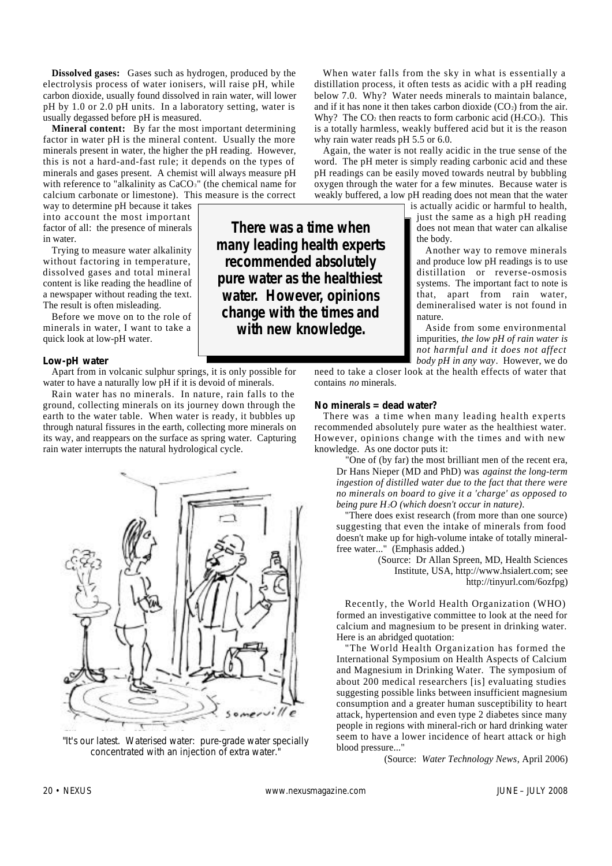**Dissolved gases:** Gases such as hydrogen, produced by the electrolysis process of water ionisers, will raise pH, while carbon dioxide, usually found dissolved in rain water, will lower pH by 1.0 or 2.0 pH units. In a laboratory setting, water is usually degassed before pH is measured.

**Mineral content:** By far the most important determining factor in water pH is the mineral content. Usually the more minerals present in water, the higher the pH reading. However, this is not a hard-and-fast rule; it depends on the types of minerals and gases present. A chemist will always measure pH with reference to "alkalinity as CaCO<sub>3</sub>" (the chemical name for calcium carbonate or limestone). This measure is the correct

way to determine pH because it takes into account the most important factor of all: the presence of minerals in water.

Trying to measure water alkalinity without factoring in temperature, dissolved gases and total mineral content is like reading the headline of a newspaper without reading the text. The result is often misleading.

Before we move on to the role of minerals in water, I want to take a quick look at low-pH water.

#### **Low-pH water**

Apart from in volcanic sulphur springs, it is only possible for water to have a naturally low pH if it is devoid of minerals.

Rain water has no minerals. In nature, rain falls to the ground, collecting minerals on its journey down through the earth to the water table. When water is ready, it bubbles up through natural fissures in the earth, collecting more minerals on its way, and reappears on the surface as spring water. Capturing rain water interrupts the natural hydrological cycle.



*"It's our latest. Waterised water: pure-grade water specially concentrated with an injection of extra water."*

When water falls from the sky in what is essentially a distillation process, it often tests as acidic with a pH reading below 7.0. Why? Water needs minerals to maintain balance, and if it has none it then takes carbon dioxide  $(CO<sub>2</sub>)$  from the air. Why? The  $CO<sub>2</sub>$  then reacts to form carbonic acid (H<sub>2</sub>CO<sub>3</sub>). This is a totally harmless, weakly buffered acid but it is the reason why rain water reads pH 5.5 or 6.0.

Again, the water is not really acidic in the true sense of the word. The pH meter is simply reading carbonic acid and these pH readings can be easily moved towards neutral by bubbling oxygen through the water for a few minutes. Because water is weakly buffered, a low pH reading does not mean that the water

is actually acidic or harmful to health, just the same as a high pH reading does not mean that water can alkalise the body.

Another way to remove minerals and produce low pH readings is to use distillation or reverse-osmosis systems. The important fact to note is that, apart from rain water, demineralised water is not found in n a ture

Aside from some environmental impurities, *the low pH of rain water is not harmful and it does not affect body pH in any way*. However, we do

need to take a closer look at the health effects of water that contains *no* minerals

#### **No minerals = dead water?**

**There was a time when many leading health experts recommended absolutely pure water as the healthiest water. However, opinions change with the times and with new knowledge.**

> There was a time when many leading health experts recommended absolutely pure water as the healthiest water. However, opinions change with the times and with new knowledge. As one doctor puts it:

"One of (by far) the most brilliant men of the recent era, Dr Hans Nieper (MD and PhD) was *against the long-term ingestion of distilled water due to the fact that there were no minerals on board to give it a 'charge' as opposed to being pure H2O (which doesn't occur in nature)*.

"There does exist research (from more than one source) suggesting that even the intake of minerals from food doesn't make up for high-volume intake of totally mineralfree water..." (Emphasis added.)

(Source: Dr Allan Spreen, MD, Health Sciences Institute, USA, http://www.hsialert.com; see http://tinyurl.com/6ozfpg)

Recently, the World Health Organization (WHO) formed an investigative committee to look at the need for calcium and magnesium to be present in drinking water. Here is an abridged quotation:

"The World Health Organization has formed the International Symposium on Health Aspects of Calcium and Magnesium in Drinking Water. The symposium of about 200 medical researchers [is] evaluating studies suggesting possible links between insufficient magnesium consumption and a greater human susceptibility to heart attack, hypertension and even type 2 diabetes since many people in regions with mineral-rich or hard drinking water seem to have a lower incidence of heart attack or high blood pressure..."

(Source: *Water Technology News*, April 2006)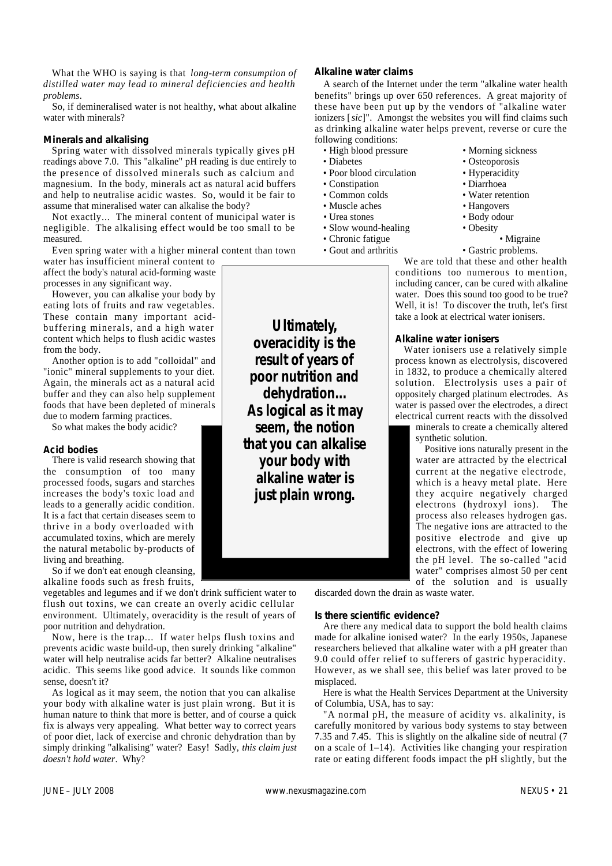What the WHO is saying is that *long-term consumption of distilled water may lead to mineral deficiencies and health p r o b l e m s*.

So, if demineralised water is not healthy, what about alkaline water with minerals?

#### **Minerals and alkalising**

Spring water with dissolved minerals typically gives pH readings above 7.0. This "alkaline" pH reading is due entirely to the presence of dissolved minerals such as calcium and magnesium. In the body, minerals act as natural acid buffers and help to neutralise acidic wastes. So, would it be fair to assume that mineralised water can alkalise the body?

Not exactly... The mineral content of municipal water is negligible. The alkalising effect would be too small to be measured.

Even spring water with a higher mineral content than town water has insufficient mineral content to

affect the body's natural acid-forming waste processes in any significant way.

However, you can alkalise your body by eating lots of fruits and raw vegetables. These contain many important acidbuffering minerals, and a high water content which helps to flush acidic wastes from the body.

Another option is to add "colloidal" and "ionic" mineral supplements to your diet. Again, the minerals act as a natural acid buffer and they can also help supplement foods that have been depleted of minerals due to modern farming practices.

So what makes the body acidic?

#### **Acid bodies**

There is valid research showing that the consumption of too many processed foods, sugars and starches increases the body's toxic load and leads to a generally acidic condition. It is a fact that certain diseases seem to thrive in a body overloaded with accumulated toxins, which are merely the natural metabolic by-products of living and breathing.

So if we don't eat enough cleansing, alkaline foods such as fresh fruits,

vegetables and legumes and if we don't drink sufficient water to flush out toxins, we can create an overly acidic cellular environment. Ultimately, overacidity is the result of years of poor nutrition and dehydration.

Now, here is the trap... If water helps flush toxins and prevents acidic waste build-up, then surely drinking "alkaline" water will help neutralise acids far better? Alkaline neutralises acidic. This seems like good advice. It sounds like common sense, doesn't it?

As logical as it may seem, the notion that you can alkalise your body with alkaline water is just plain wrong. But it is human nature to think that more is better, and of course a quick fix is always very appealing. What better way to correct years of poor diet, lack of exercise and chronic dehydration than by simply drinking "alkalising" water? Easy! Sadly, *this claim just doesn't hold water*. Why?

**Ultimately, overacidity is the result of years of poor nutrition and dehydration... As logical as it may seem, the notion that you can alkalise your body with alkaline water is just plain wrong.**

#### **Alkaline water claims**

A search of the Internet under the term "alkaline water health benefits" brings up over 650 references. A great majority of these have been put up by the vendors of "alkaline water ionizers [sic]". Amongst the websites you will find claims such as drinking alkaline water helps prevent, reverse or cure the following conditions:

- 
- - Poor blood circulation Hyperacidity
	- Constipation Diarrhoea
- Common colds Water retention
- Muscle aches Hangovers
- 
- Urea stones Body odour<br>• Slow wound-healing Obesity • Slow wound-healing
- Chronic fatigue Migraine
- Gout and arthritis Gastric problems.
- High blood pressure Morning sickness
- Diabetes Osteoporosis
	-
	-
	-
	-
	-
	- -

We are told that these and other health conditions too numerous to mention, including cancer, can be cured with alkaline water. Does this sound too good to be true? Well, it is! To discover the truth, let's first take a look at electrical water ionisers.

#### **Alkaline water ionisers**

Water ionisers use a relatively simple process known as electrolysis, discovered in 1832, to produce a chemically altered solution. Electrolysis uses a pair of oppositely charged platinum electrodes. As water is passed over the electrodes, a direct electrical current reacts with the dissolved

minerals to create a chemically altered synthetic solution.

Positive ions naturally present in the water are attracted by the electrical current at the negative electrode, which is a heavy metal plate. Here they acquire negatively charged electrons (hydroxyl ions). The process also releases hydrogen gas. The negative ions are attracted to the positive electrode and give up electrons, with the effect of lowering the pH level. The so-called "acid water" comprises almost 50 per cent of the solution and is usually

discarded down the drain as waste water.

#### **Is there scientific evidence?**

Are there any medical data to support the bold health claims made for alkaline ionised water? In the early 1950s, Japanese researchers believed that alkaline water with a pH greater than 9.0 could offer relief to sufferers of gastric hyperacidity. However, as we shall see, this belief was later proved to be misplaced.

Here is what the Health Services Department at the University of Columbia, USA, has to say:

"A normal pH, the measure of acidity vs. alkalinity, is carefully monitored by various body systems to stay between 7.35 and 7.45. This is slightly on the alkaline side of neutral (7 on a scale of 1–14). Activities like changing your respiration rate or eating different foods impact the pH slightly, but the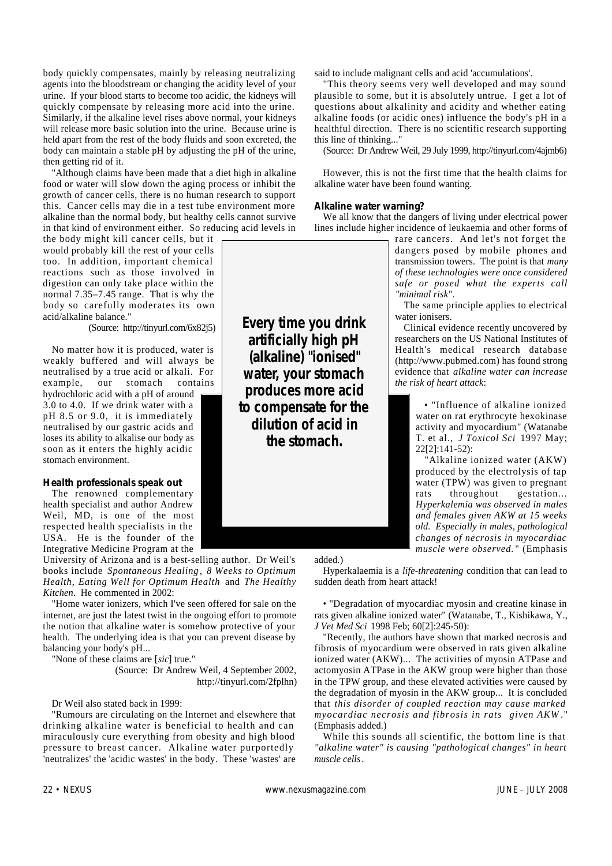body quickly compensates, mainly by releasing neutralizing agents into the bloodstream or changing the acidity level of your urine. If your blood starts to become too acidic, the kidneys will quickly compensate by releasing more acid into the urine. Similarly, if the alkaline level rises above normal, your kidneys will release more basic solution into the urine. Because urine is held apart from the rest of the body fluids and soon excreted, the body can maintain a stable pH by adjusting the pH of the urine, then getting rid of it.

"Although claims have been made that a diet high in alkaline food or water will slow down the aging process or inhibit the growth of cancer cells, there is no human research to support this. Cancer cells may die in a test tube environment more alkaline than the normal body, but healthy cells cannot survive in that kind of environment either. So reducing acid levels in

the body might kill cancer cells, but it would probably kill the rest of your cells too. In addition, important chemical reactions such as those involved in digestion can only take place within the normal 7.35–7.45 range. That is why the body so carefully moderates its own acid/alkaline balance."

(Source: http://tinyurl.com/6x82j5)

No matter how it is produced, water is weakly buffered and will always be neutralised by a true acid or alkali. For example, our stomach contains hydrochloric acid with a pH of around 3.0 to 4.0. If we drink water with a pH 8.5 or 9.0, it is immediately neutralised by our gastric acids and loses its ability to alkalise our body as soon as it enters the highly acidic stomach environment.

#### **Health professionals speak out**

The renowned complementary health specialist and author Andrew Weil, MD, is one of the most respected health specialists in the USA. He is the founder of the Integrative Medicine Program at the

University of Arizona and is a best-selling author. Dr Weil's books include *Spontaneous Healing* , *8 Weeks to Optimum H e a l t h*, *Eating Well for Optimum Health* and *The Healthy Kitchen.* He commented in 2002:

"Home water ionizers, which I've seen offered for sale on the internet, are just the latest twist in the ongoing effort to promote the notion that alkaline water is somehow protective of your health. The underlying idea is that you can prevent disease by balancing your body's pH...

"None of these claims are [sic] true."

(Source: Dr Andrew Weil, 4 September 2002, http://tinyurl.com/2fplhn)

#### Dr Weil also stated back in 1999:

"Rumours are circulating on the Internet and elsewhere that drinking alkaline water is beneficial to health and can miraculously cure everything from obesity and high blood pressure to breast cancer. Alkaline water purportedly 'neutralizes' the 'acidic wastes' in the body. These 'wastes' are

said to include malignant cells and acid 'accumulations'.

"This theory seems very well developed and may sound plausible to some, but it is absolutely untrue. I get a lot of questions about alkalinity and acidity and whether eating alkaline foods (or acidic ones) influence the body's pH in a healthful direction. There is no scientific research supporting this line of thinking..."

(Source: Dr Andrew Weil, 29 July 1999, http://tinyurl.com/4ajmb6)

However, this is not the first time that the health claims for alkaline water have been found wanting.

#### **Alkaline water warning?**

We all know that the dangers of living under electrical power lines include higher incidence of leukaemia and other forms of

> rare cancers. And let's not forget the dangers posed by mobile phones and transmission towers. The point is that *many of these technologies were once considered safe or posed what the experts call "minimal risk"*.

> The same principle applies to electrical water ionisers.

> Clinical evidence recently uncovered by researchers on the US National Institutes of Health's medical research database (http://www.pubmed.com) has found strong evidence that *alkaline water can increase the risk of heart attack*:

> > • "Influence of alkaline ionized water on rat erythrocyte hexokinase activity and myocardium" (Watanabe T. et al., *J Toxicol Sci* 1997 May;  $22[2]$ :141-52):

> > "Alkaline ionized water (AKW) produced by the electrolysis of tap water (TPW) was given to pregnant rats throughout gestation... *Hyperkalemia was observed in males and females given AKW at 15 weeks old. Especially in males, pathological changes of necrosis in myocardiac muscle were observed.* " (Emphasis

added.)

Hyperkalaemia is a *life-threatening* condition that can lead to sudden death from heart attack!

• "Degradation of myocardiac myosin and creatine kinase in rats given alkaline ionized water" (Watanabe, T., Kishikawa, Y., *J Vet Med Sci* 1998 Feb; 60[2]:245-50):

"Recently, the authors have shown that marked necrosis and fibrosis of myocardium were observed in rats given alkaline ionized water (AKW)... The activities of myosin ATPase and actomyosin ATPase in the AKW group were higher than those in the TPW group, and these elevated activities were caused by the degradation of myosin in the AKW group... It is concluded that *this disorder of coupled reaction may cause marked myocardiac necrosis and fibrosis in rats given AKW* . " (Emphasis added.)

While this sounds all scientific, the bottom line is that *"alkaline water" is causing "pathological changes" in heart muscle cells*.

**Every time you drink artificially high pH (alkaline) "ionised" water, your stomach produces more acid to compensate for the dilution of acid in the stomach.**